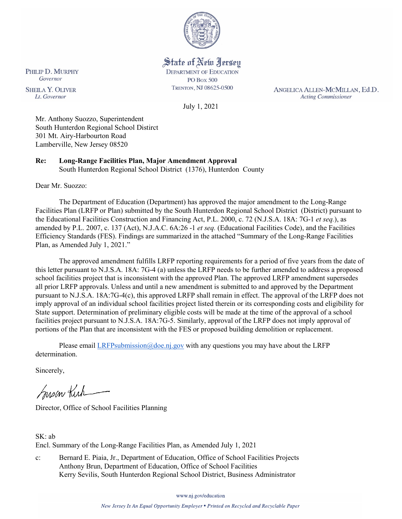

# State of New Jersey

**DEPARTMENT OF EDUCATION PO Box 500** TRENTON, NJ 08625-0500

ANGELICA ALLEN-MCMILLAN, Ed.D. **Acting Commissioner** 

July 1, 2021

Mr. Anthony Suozzo, Superintendent South Hunterdon Regional School Distirct 301 Mt. Airy-Harbourton Road Lamberville, New Jersey 08520

**Re: Long-Range Facilities Plan, Major Amendment Approval**  South Hunterdon Regional School District (1376), Hunterdon County

Dear Mr. Suozzo:

The Department of Education (Department) has approved the major amendment to the Long-Range Facilities Plan (LRFP or Plan) submitted by the South Hunterdon Regional School District (District) pursuant to the Educational Facilities Construction and Financing Act, P.L. 2000, c. 72 (N.J.S.A. 18A: 7G-1 *et seq.*), as amended by P.L. 2007, c. 137 (Act), N.J.A.C. 6A:26 -1 *et seq.* (Educational Facilities Code), and the Facilities Efficiency Standards (FES). Findings are summarized in the attached "Summary of the Long-Range Facilities Plan, as Amended July 1, 2021."

The approved amendment fulfills LRFP reporting requirements for a period of five years from the date of this letter pursuant to N.J.S.A. 18A: 7G-4 (a) unless the LRFP needs to be further amended to address a proposed school facilities project that is inconsistent with the approved Plan. The approved LRFP amendment supersedes all prior LRFP approvals. Unless and until a new amendment is submitted to and approved by the Department pursuant to N.J.S.A. 18A:7G-4(c), this approved LRFP shall remain in effect. The approval of the LRFP does not imply approval of an individual school facilities project listed therein or its corresponding costs and eligibility for State support. Determination of preliminary eligible costs will be made at the time of the approval of a school facilities project pursuant to N.J.S.A. 18A:7G-5. Similarly, approval of the LRFP does not imply approval of portions of the Plan that are inconsistent with the FES or proposed building demolition or replacement.

Please email [LRFPsubmission@doe.nj.gov](mailto:LRFPsubmission@doe.nj.gov) with any questions you may have about the LRFP determination.

Sincerely,

Susan Kutner

Director, Office of School Facilities Planning

SK: ab Encl. Summary of the Long-Range Facilities Plan, as Amended July 1, 2021

c: Bernard E. Piaia, Jr., Department of Education, Office of School Facilities Projects Anthony Brun, Department of Education, Office of School Facilities Kerry Sevilis, South Hunterdon Regional School District, Business Administrator

www.nj.gov/education

New Jersey Is An Equal Opportunity Employer . Printed on Recycled and Recyclable Paper

PHILIP D. MURPHY Governor

**SHEILA Y. OLIVER** Lt. Governor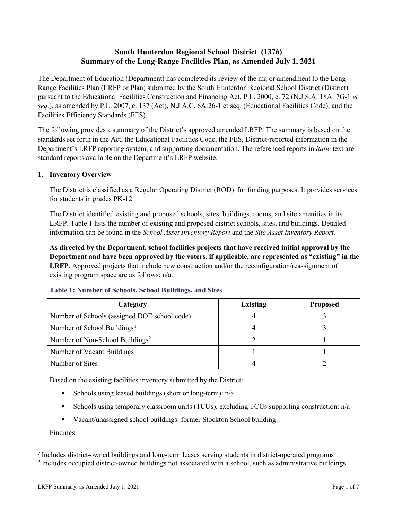# **South Hunterdon Regional School District (1376) Summary of the Long-Range Facilities Plan, as Amended July 1, 2021**

The Department of Education (Department) has completed its review of the major amendment to the Long-Range Facilities Plan (LRFP or Plan) submitted by the South Hunterdon Regional School District (District) pursuant to the Educational Facilities Construction and Financing Act, P.L. 2000, c. 72 (N.J.S.A. 18A: 7G-1 *et seq.*), as amended by P.L. 2007, c. 137 (Act), N.J.A.C. 6A:26-1 et seq. (Educational Facilities Code), and the Facilities Efficiency Standards (FES).

The following provides a summary of the District's approved amended LRFP. The summary is based on the standards set forth in the Act, the Educational Facilities Code, the FES, District-reported information in the Department's LRFP reporting system, and supporting documentation. The referenced reports in *italic* text are standard reports available on the Department's LRFP website.

## **1. Inventory Overview**

The District is classified as a Regular Operating District (ROD) for funding purposes. It provides services for students in grades PK-12.

The District identified existing and proposed schools, sites, buildings, rooms, and site amenities in its LRFP. Table 1 lists the number of existing and proposed district schools, sites, and buildings. Detailed information can be found in the *School Asset Inventory Report* and the *Site Asset Inventory Report.*

**As directed by the Department, school facilities projects that have received initial approval by the Department and have been approved by the voters, if applicable, are represented as "existing" in the LRFP.** Approved projects that include new construction and/or the reconfiguration/reassignment of existing program space are as follows: n/a.

| Category                                     | <b>Existing</b> | <b>Proposed</b> |
|----------------------------------------------|-----------------|-----------------|
| Number of Schools (assigned DOE school code) |                 |                 |
| Number of School Buildings <sup>1</sup>      |                 |                 |
| Number of Non-School Buildings <sup>2</sup>  |                 |                 |
| Number of Vacant Buildings                   |                 |                 |
| Number of Sites                              |                 |                 |

## **Table 1: Number of Schools, School Buildings, and Sites**

Based on the existing facilities inventory submitted by the District:

- Schools using leased buildings (short or long-term):  $n/a$
- Schools using temporary classroom units (TCUs), excluding TCUs supporting construction:  $n/a$
- Vacant/unassigned school buildings: former Stockton School building

Findings:

 $\overline{a}$ 

<span id="page-1-1"></span><span id="page-1-0"></span>*<sup>1</sup>* Includes district-owned buildings and long-term leases serving students in district-operated programs

<sup>&</sup>lt;sup>2</sup> Includes occupied district-owned buildings not associated with a school, such as administrative buildings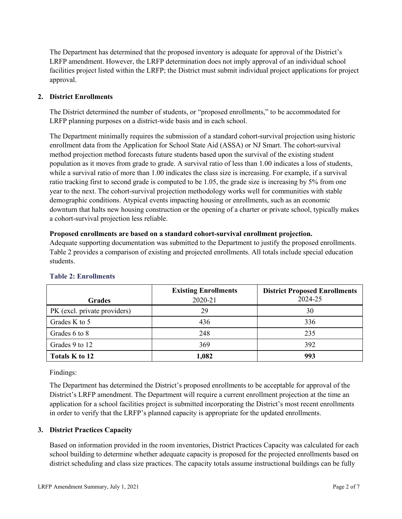The Department has determined that the proposed inventory is adequate for approval of the District's LRFP amendment. However, the LRFP determination does not imply approval of an individual school facilities project listed within the LRFP; the District must submit individual project applications for project approval.

#### **2. District Enrollments**

The District determined the number of students, or "proposed enrollments," to be accommodated for LRFP planning purposes on a district-wide basis and in each school.

The Department minimally requires the submission of a standard cohort-survival projection using historic enrollment data from the Application for School State Aid (ASSA) or NJ Smart. The cohort-survival method projection method forecasts future students based upon the survival of the existing student population as it moves from grade to grade. A survival ratio of less than 1.00 indicates a loss of students, while a survival ratio of more than 1.00 indicates the class size is increasing. For example, if a survival ratio tracking first to second grade is computed to be 1.05, the grade size is increasing by 5% from one year to the next. The cohort-survival projection methodology works well for communities with stable demographic conditions. Atypical events impacting housing or enrollments, such as an economic downturn that halts new housing construction or the opening of a charter or private school, typically makes a cohort-survival projection less reliable.

#### **Proposed enrollments are based on a standard cohort-survival enrollment projection.**

Adequate supporting documentation was submitted to the Department to justify the proposed enrollments. Table 2 provides a comparison of existing and projected enrollments. All totals include special education students.

| <b>Grades</b>                | <b>Existing Enrollments</b><br>2020-21 | <b>District Proposed Enrollments</b><br>2024-25 |
|------------------------------|----------------------------------------|-------------------------------------------------|
| PK (excl. private providers) | 29                                     | 30                                              |
| Grades K to 5                | 436                                    | 336                                             |
| Grades 6 to 8                | 248                                    | 235                                             |
| Grades 9 to 12               | 369                                    | 392                                             |
| Totals K to 12               | 1,082                                  | 993                                             |

#### **Table 2: Enrollments**

Findings:

The Department has determined the District's proposed enrollments to be acceptable for approval of the District's LRFP amendment. The Department will require a current enrollment projection at the time an application for a school facilities project is submitted incorporating the District's most recent enrollments in order to verify that the LRFP's planned capacity is appropriate for the updated enrollments.

#### **3. District Practices Capacity**

Based on information provided in the room inventories, District Practices Capacity was calculated for each school building to determine whether adequate capacity is proposed for the projected enrollments based on district scheduling and class size practices. The capacity totals assume instructional buildings can be fully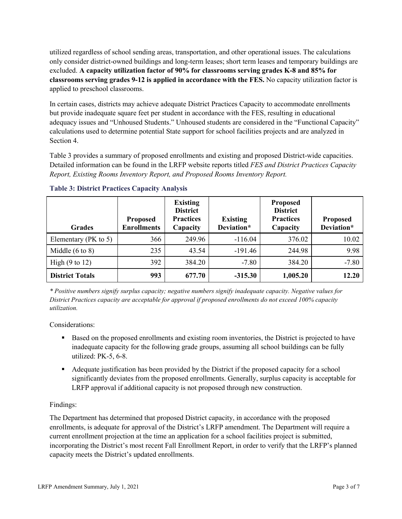utilized regardless of school sending areas, transportation, and other operational issues. The calculations only consider district-owned buildings and long-term leases; short term leases and temporary buildings are excluded. **A capacity utilization factor of 90% for classrooms serving grades K-8 and 85% for classrooms serving grades 9-12 is applied in accordance with the FES.** No capacity utilization factor is applied to preschool classrooms.

In certain cases, districts may achieve adequate District Practices Capacity to accommodate enrollments but provide inadequate square feet per student in accordance with the FES, resulting in educational adequacy issues and "Unhoused Students." Unhoused students are considered in the "Functional Capacity" calculations used to determine potential State support for school facilities projects and are analyzed in Section 4.

Table 3 provides a summary of proposed enrollments and existing and proposed District-wide capacities. Detailed information can be found in the LRFP website reports titled *FES and District Practices Capacity Report, Existing Rooms Inventory Report, and Proposed Rooms Inventory Report.*

| <b>Grades</b>              | <b>Proposed</b><br><b>Enrollments</b> | <b>Existing</b><br><b>District</b><br><b>Practices</b><br>Capacity | <b>Existing</b><br>Deviation* | <b>Proposed</b><br><b>District</b><br><b>Practices</b><br>Capacity | <b>Proposed</b><br>Deviation* |
|----------------------------|---------------------------------------|--------------------------------------------------------------------|-------------------------------|--------------------------------------------------------------------|-------------------------------|
| Elementary ( $PK$ to 5)    | 366                                   | 249.96                                                             | $-116.04$                     | 376.02                                                             | 10.02                         |
| Middle $(6 \text{ to } 8)$ | 235                                   | 43.54                                                              | $-191.46$                     | 244.98                                                             | 9.98                          |
| High $(9 \text{ to } 12)$  | 392                                   | 384.20                                                             | $-7.80$                       | 384.20                                                             | $-7.80$                       |
| <b>District Totals</b>     | 993                                   | 677.70                                                             | $-315.30$                     | 1,005.20                                                           | 12.20                         |

**Table 3: District Practices Capacity Analysis** 

*\* Positive numbers signify surplus capacity; negative numbers signify inadequate capacity. Negative values for District Practices capacity are acceptable for approval if proposed enrollments do not exceed 100% capacity utilization.*

Considerations:

- Based on the proposed enrollments and existing room inventories, the District is projected to have inadequate capacity for the following grade groups, assuming all school buildings can be fully utilized: PK-5, 6-8.
- Adequate justification has been provided by the District if the proposed capacity for a school significantly deviates from the proposed enrollments. Generally, surplus capacity is acceptable for LRFP approval if additional capacity is not proposed through new construction.

## Findings:

The Department has determined that proposed District capacity, in accordance with the proposed enrollments, is adequate for approval of the District's LRFP amendment. The Department will require a current enrollment projection at the time an application for a school facilities project is submitted, incorporating the District's most recent Fall Enrollment Report, in order to verify that the LRFP's planned capacity meets the District's updated enrollments.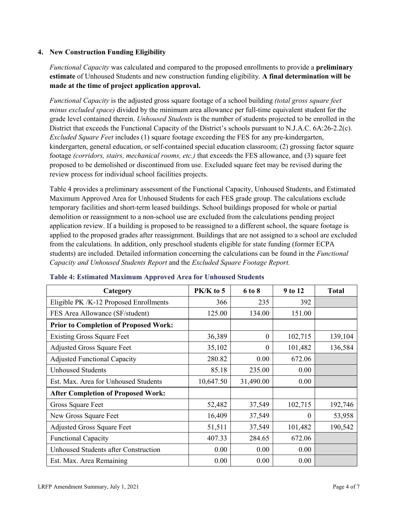#### **4. New Construction Funding Eligibility**

*Functional Capacity* was calculated and compared to the proposed enrollments to provide a **preliminary estimate** of Unhoused Students and new construction funding eligibility. **A final determination will be made at the time of project application approval.**

*Functional Capacity* is the adjusted gross square footage of a school building *(total gross square feet minus excluded space)* divided by the minimum area allowance per full-time equivalent student for the grade level contained therein. *Unhoused Students* is the number of students projected to be enrolled in the District that exceeds the Functional Capacity of the District's schools pursuant to N.J.A.C. 6A:26-2.2(c). *Excluded Square Feet* includes (1) square footage exceeding the FES for any pre-kindergarten, kindergarten, general education, or self-contained special education classroom; (2) grossing factor square footage *(corridors, stairs, mechanical rooms, etc.)* that exceeds the FES allowance, and (3) square feet proposed to be demolished or discontinued from use. Excluded square feet may be revised during the review process for individual school facilities projects.

Table 4 provides a preliminary assessment of the Functional Capacity, Unhoused Students, and Estimated Maximum Approved Area for Unhoused Students for each FES grade group. The calculations exclude temporary facilities and short-term leased buildings. School buildings proposed for whole or partial demolition or reassignment to a non-school use are excluded from the calculations pending project application review. If a building is proposed to be reassigned to a different school, the square footage is applied to the proposed grades after reassignment. Buildings that are not assigned to a school are excluded from the calculations. In addition, only preschool students eligible for state funding (former ECPA students) are included. Detailed information concerning the calculations can be found in the *Functional Capacity and Unhoused Students Report* and the *Excluded Square Footage Report.*

| Category                                     | PK/K to 5 | 6 to 8    | 9 to 12 | <b>Total</b> |
|----------------------------------------------|-----------|-----------|---------|--------------|
| Eligible PK /K-12 Proposed Enrollments       | 366       | 235       | 392     |              |
| FES Area Allowance (SF/student)              | 125.00    | 134.00    | 151.00  |              |
| <b>Prior to Completion of Proposed Work:</b> |           |           |         |              |
| <b>Existing Gross Square Feet</b>            | 36,389    | $\theta$  | 102,715 | 139,104      |
| <b>Adjusted Gross Square Feet</b>            | 35,102    | $\theta$  | 101,482 | 136,584      |
| <b>Adjusted Functional Capacity</b>          | 280.82    | 0.00      | 672.06  |              |
| <b>Unhoused Students</b>                     | 85.18     | 235.00    | 0.00    |              |
| Est. Max. Area for Unhoused Students         | 10,647.50 | 31,490.00 | 0.00    |              |
| <b>After Completion of Proposed Work:</b>    |           |           |         |              |
| Gross Square Feet                            | 52,482    | 37,549    | 102,715 | 192,746      |
| New Gross Square Feet                        | 16,409    | 37,549    | 0       | 53,958       |
| <b>Adjusted Gross Square Feet</b>            | 51,511    | 37,549    | 101,482 | 190,542      |
| <b>Functional Capacity</b>                   | 407.33    | 284.65    | 672.06  |              |
| <b>Unhoused Students after Construction</b>  | 0.00      | 0.00      | 0.00    |              |
| Est. Max. Area Remaining                     | 0.00      | 0.00      | 0.00    |              |

#### **Table 4: Estimated Maximum Approved Area for Unhoused Students**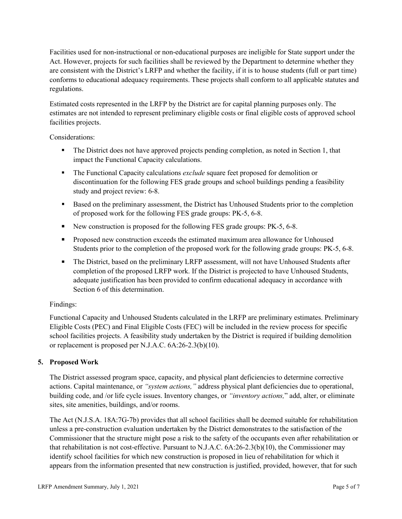Facilities used for non-instructional or non-educational purposes are ineligible for State support under the Act. However, projects for such facilities shall be reviewed by the Department to determine whether they are consistent with the District's LRFP and whether the facility, if it is to house students (full or part time) conforms to educational adequacy requirements. These projects shall conform to all applicable statutes and regulations.

Estimated costs represented in the LRFP by the District are for capital planning purposes only. The estimates are not intended to represent preliminary eligible costs or final eligible costs of approved school facilities projects.

Considerations:

- The District does not have approved projects pending completion, as noted in Section 1, that impact the Functional Capacity calculations.
- **The Functional Capacity calculations** *exclude* square feet proposed for demolition or discontinuation for the following FES grade groups and school buildings pending a feasibility study and project review: 6-8.
- Based on the preliminary assessment, the District has Unhoused Students prior to the completion of proposed work for the following FES grade groups: PK-5, 6-8.
- New construction is proposed for the following FES grade groups: PK-5, 6-8.
- Proposed new construction exceeds the estimated maximum area allowance for Unhoused Students prior to the completion of the proposed work for the following grade groups: PK-5, 6-8.
- The District, based on the preliminary LRFP assessment, will not have Unhoused Students after completion of the proposed LRFP work. If the District is projected to have Unhoused Students, adequate justification has been provided to confirm educational adequacy in accordance with Section 6 of this determination.

## Findings:

Functional Capacity and Unhoused Students calculated in the LRFP are preliminary estimates. Preliminary Eligible Costs (PEC) and Final Eligible Costs (FEC) will be included in the review process for specific school facilities projects. A feasibility study undertaken by the District is required if building demolition or replacement is proposed per N.J.A.C. 6A:26-2.3(b)(10).

## **5. Proposed Work**

The District assessed program space, capacity, and physical plant deficiencies to determine corrective actions. Capital maintenance, or *"system actions,"* address physical plant deficiencies due to operational, building code, and /or life cycle issues. Inventory changes, or *"inventory actions,*" add, alter, or eliminate sites, site amenities, buildings, and/or rooms.

The Act (N.J.S.A. 18A:7G-7b) provides that all school facilities shall be deemed suitable for rehabilitation unless a pre-construction evaluation undertaken by the District demonstrates to the satisfaction of the Commissioner that the structure might pose a risk to the safety of the occupants even after rehabilitation or that rehabilitation is not cost-effective. Pursuant to N.J.A.C. 6A:26-2.3(b)(10), the Commissioner may identify school facilities for which new construction is proposed in lieu of rehabilitation for which it appears from the information presented that new construction is justified, provided, however, that for such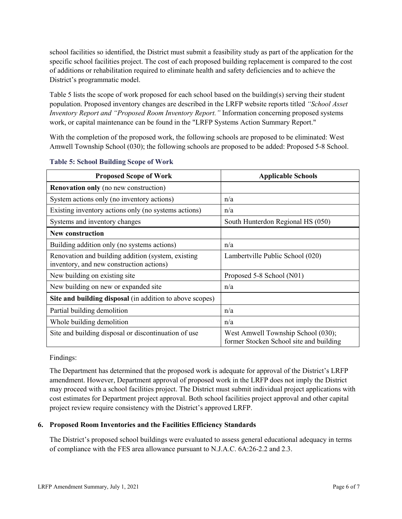school facilities so identified, the District must submit a feasibility study as part of the application for the specific school facilities project. The cost of each proposed building replacement is compared to the cost of additions or rehabilitation required to eliminate health and safety deficiencies and to achieve the District's programmatic model.

Table 5 lists the scope of work proposed for each school based on the building(s) serving their student population. Proposed inventory changes are described in the LRFP website reports titled *"School Asset Inventory Report and "Proposed Room Inventory Report."* Information concerning proposed systems work, or capital maintenance can be found in the "LRFP Systems Action Summary Report."

With the completion of the proposed work, the following schools are proposed to be eliminated: West Amwell Township School (030); the following schools are proposed to be added: Proposed 5-8 School.

| <b>Proposed Scope of Work</b>                                                                  | <b>Applicable Schools</b>                                                     |  |  |
|------------------------------------------------------------------------------------------------|-------------------------------------------------------------------------------|--|--|
| <b>Renovation only</b> (no new construction)                                                   |                                                                               |  |  |
| System actions only (no inventory actions)                                                     | n/a                                                                           |  |  |
| Existing inventory actions only (no systems actions)                                           | n/a                                                                           |  |  |
| Systems and inventory changes                                                                  | South Hunterdon Regional HS (050)                                             |  |  |
| <b>New construction</b>                                                                        |                                                                               |  |  |
| Building addition only (no systems actions)                                                    | n/a                                                                           |  |  |
| Renovation and building addition (system, existing<br>inventory, and new construction actions) | Lambertville Public School (020)                                              |  |  |
| New building on existing site                                                                  | Proposed 5-8 School (N01)                                                     |  |  |
| New building on new or expanded site                                                           | n/a                                                                           |  |  |
| Site and building disposal (in addition to above scopes)                                       |                                                                               |  |  |
| Partial building demolition                                                                    | n/a                                                                           |  |  |
| Whole building demolition                                                                      | n/a                                                                           |  |  |
| Site and building disposal or discontinuation of use                                           | West Amwell Township School (030);<br>former Stocken School site and building |  |  |

|  |  | <b>Table 5: School Building Scope of Work</b> |
|--|--|-----------------------------------------------|
|  |  |                                               |

Findings:

The Department has determined that the proposed work is adequate for approval of the District's LRFP amendment. However, Department approval of proposed work in the LRFP does not imply the District may proceed with a school facilities project. The District must submit individual project applications with cost estimates for Department project approval. Both school facilities project approval and other capital project review require consistency with the District's approved LRFP.

## **6. Proposed Room Inventories and the Facilities Efficiency Standards**

The District's proposed school buildings were evaluated to assess general educational adequacy in terms of compliance with the FES area allowance pursuant to N.J.A.C. 6A:26-2.2 and 2.3.